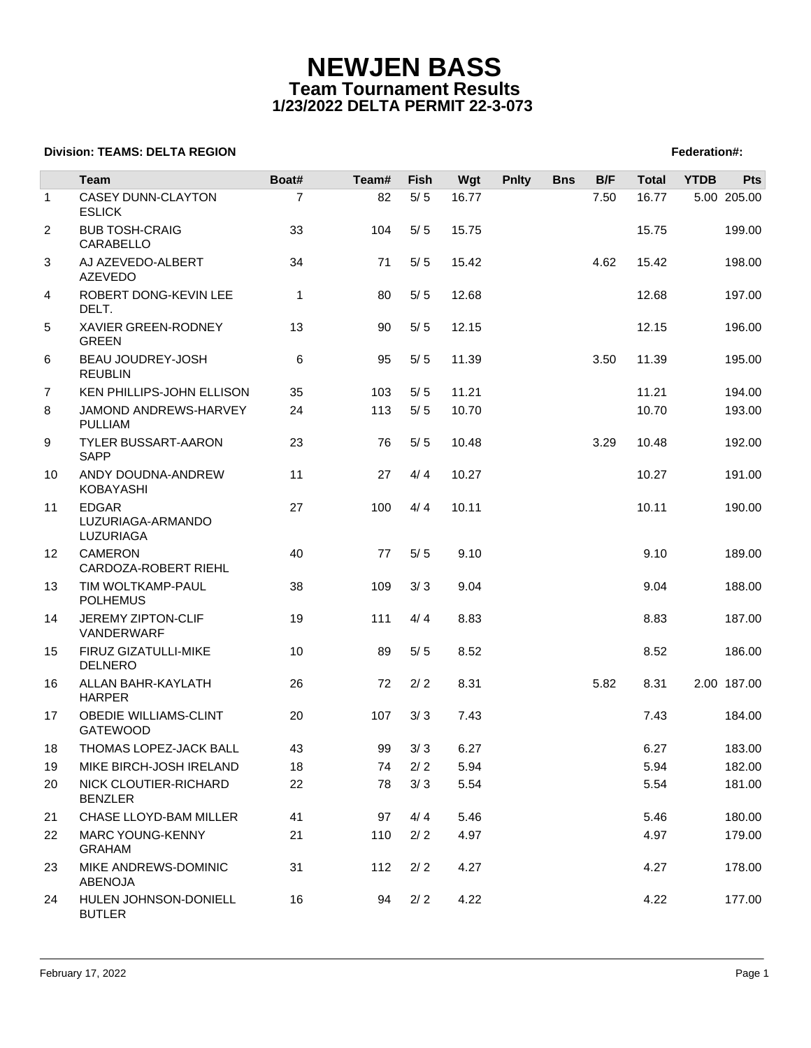## **NEWJEN BASS Team Tournament Results 1/23/2022 DELTA PERMIT 22-3-073**

## **Division: TEAMS: DELTA REGION FEDERATION FEDERATION: TEAMS: DELTA REGION**

|                | <b>Team</b>                                     | Boat#          | Team# | Fish  | Wgt   | <b>Pnlty</b> | <b>Bns</b> | B/F  | <b>Total</b> | <b>YTDB</b> | <b>Pts</b>  |
|----------------|-------------------------------------------------|----------------|-------|-------|-------|--------------|------------|------|--------------|-------------|-------------|
| $\mathbf{1}$   | <b>CASEY DUNN-CLAYTON</b><br><b>ESLICK</b>      | $\overline{7}$ | 82    | $5/5$ | 16.77 |              |            | 7.50 | 16.77        |             | 5.00 205.00 |
| $\overline{2}$ | <b>BUB TOSH-CRAIG</b><br>CARABELLO              | 33             | 104   | 5/5   | 15.75 |              |            |      | 15.75        |             | 199.00      |
| 3              | AJ AZEVEDO-ALBERT<br><b>AZEVEDO</b>             | 34             | 71    | 5/5   | 15.42 |              |            | 4.62 | 15.42        |             | 198.00      |
| 4              | ROBERT DONG-KEVIN LEE<br>DELT.                  | $\mathbf{1}$   | 80    | 5/5   | 12.68 |              |            |      | 12.68        |             | 197.00      |
| 5              | XAVIER GREEN-RODNEY<br><b>GREEN</b>             | 13             | 90    | $5/5$ | 12.15 |              |            |      | 12.15        |             | 196.00      |
| 6              | BEAU JOUDREY-JOSH<br><b>REUBLIN</b>             | 6              | 95    | $5/5$ | 11.39 |              |            | 3.50 | 11.39        |             | 195.00      |
| 7              | KEN PHILLIPS-JOHN ELLISON                       | 35             | 103   | 5/5   | 11.21 |              |            |      | 11.21        |             | 194.00      |
| 8              | JAMOND ANDREWS-HARVEY<br><b>PULLIAM</b>         | 24             | 113   | 5/5   | 10.70 |              |            |      | 10.70        |             | 193.00      |
| 9              | <b>TYLER BUSSART-AARON</b><br><b>SAPP</b>       | 23             | 76    | 5/5   | 10.48 |              |            | 3.29 | 10.48        |             | 192.00      |
| 10             | ANDY DOUDNA-ANDREW<br>KOBAYASHI                 | 11             | 27    | 4/4   | 10.27 |              |            |      | 10.27        |             | 191.00      |
| 11             | <b>EDGAR</b><br>LUZURIAGA-ARMANDO<br>LUZURIAGA  | 27             | 100   | 4/4   | 10.11 |              |            |      | 10.11        |             | 190.00      |
| 12             | <b>CAMERON</b><br>CARDOZA-ROBERT RIEHL          | 40             | 77    | 5/5   | 9.10  |              |            |      | 9.10         |             | 189.00      |
| 13             | TIM WOLTKAMP-PAUL<br><b>POLHEMUS</b>            | 38             | 109   | 3/3   | 9.04  |              |            |      | 9.04         |             | 188.00      |
| 14             | JEREMY ZIPTON-CLIF<br>VANDERWARF                | 19             | 111   | 4/4   | 8.83  |              |            |      | 8.83         |             | 187.00      |
| 15             | FIRUZ GIZATULLI-MIKE<br><b>DELNERO</b>          | 10             | 89    | 5/5   | 8.52  |              |            |      | 8.52         |             | 186.00      |
| 16             | ALLAN BAHR-KAYLATH<br><b>HARPER</b>             | 26             | 72    | 2/2   | 8.31  |              |            | 5.82 | 8.31         |             | 2.00 187.00 |
| 17             | <b>OBEDIE WILLIAMS-CLINT</b><br><b>GATEWOOD</b> | 20             | 107   | 3/3   | 7.43  |              |            |      | 7.43         |             | 184.00      |
| 18             | THOMAS LOPEZ-JACK BALL                          | 43             | 99    | 3/3   | 6.27  |              |            |      | 6.27         |             | 183.00      |
| 19             | MIKE BIRCH-JOSH IRELAND                         | 18             | 74    | 2/2   | 5.94  |              |            |      | 5.94         |             | 182.00      |
| 20             | NICK CLOUTIER-RICHARD<br><b>BENZLER</b>         | 22             | 78    | 3/3   | 5.54  |              |            |      | 5.54         |             | 181.00      |
| 21             | CHASE LLOYD-BAM MILLER                          | 41             | 97    | 4/4   | 5.46  |              |            |      | 5.46         |             | 180.00      |
| 22             | <b>MARC YOUNG-KENNY</b><br><b>GRAHAM</b>        | 21             | 110   | 2/2   | 4.97  |              |            |      | 4.97         |             | 179.00      |
| 23             | MIKE ANDREWS-DOMINIC<br>ABENOJA                 | 31             | 112   | 2/2   | 4.27  |              |            |      | 4.27         |             | 178.00      |
| 24             | HULEN JOHNSON-DONIELL<br><b>BUTLER</b>          | 16             | 94    | 2/2   | 4.22  |              |            |      | 4.22         |             | 177.00      |